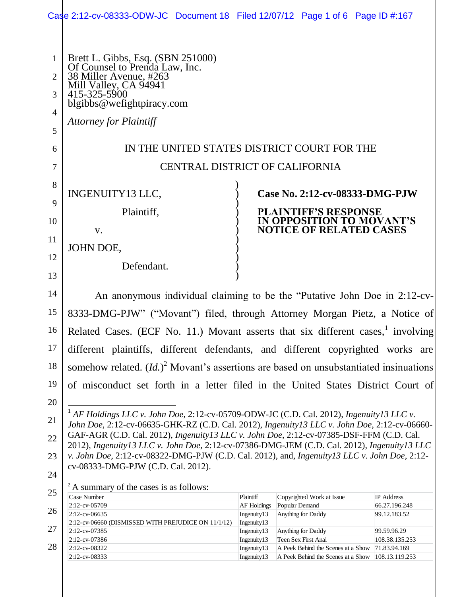|                     | Case 2:12-cv-08333-ODW-JC Document 18 Filed 12/07/12 Page 1 of 6 Page ID #:167                                                                                                              |                                   |                |                                                             |                               |  |
|---------------------|---------------------------------------------------------------------------------------------------------------------------------------------------------------------------------------------|-----------------------------------|----------------|-------------------------------------------------------------|-------------------------------|--|
|                     |                                                                                                                                                                                             |                                   |                |                                                             |                               |  |
| 1<br>$\overline{2}$ | Brett L. Gibbs, Esq. (SBN 251000)<br>Of Counsel to Prenda Law, Inc.<br>38 Miller Avenue, #263<br>Mill Valley, CA 94941<br>415-325-5900                                                      |                                   |                |                                                             |                               |  |
| 3                   |                                                                                                                                                                                             |                                   |                |                                                             |                               |  |
| 4                   | blgibbs@wefightpiracy.com                                                                                                                                                                   |                                   |                |                                                             |                               |  |
| 5                   | <b>Attorney for Plaintiff</b>                                                                                                                                                               |                                   |                |                                                             |                               |  |
| 6                   | IN THE UNITED STATES DISTRICT COURT FOR THE                                                                                                                                                 |                                   |                |                                                             |                               |  |
| $\overline{7}$      | <b>CENTRAL DISTRICT OF CALIFORNIA</b>                                                                                                                                                       |                                   |                |                                                             |                               |  |
| 8                   | INGENUITY13 LLC,                                                                                                                                                                            |                                   |                | Case No. 2:12-cv-08333-DMG-PJW                              |                               |  |
| 9                   | Plaintiff,                                                                                                                                                                                  |                                   |                | <b>PLAINTIFF'S RESPONSE</b>                                 |                               |  |
| 10                  | V.                                                                                                                                                                                          |                                   |                | IN OPPOSITION TO MOVANT'S<br><b>NOTICE OF RELATED CASES</b> |                               |  |
| 11                  | JOHN DOE,                                                                                                                                                                                   |                                   |                |                                                             |                               |  |
| 12                  |                                                                                                                                                                                             |                                   |                |                                                             |                               |  |
| 13                  | Defendant.                                                                                                                                                                                  |                                   |                |                                                             |                               |  |
| 14                  | An anonymous individual claiming to be the "Putative John Doe in 2:12-cv-                                                                                                                   |                                   |                |                                                             |                               |  |
| 15                  | 8333-DMG-PJW" ("Movant") filed, through Attorney Morgan Pietz, a Notice of                                                                                                                  |                                   |                |                                                             |                               |  |
| 16                  | Related Cases. (ECF No. 11.) Movant asserts that six different cases, involving                                                                                                             |                                   |                |                                                             |                               |  |
| 17                  | different plaintiffs, different defendants, and different copyrighted works are                                                                                                             |                                   |                |                                                             |                               |  |
| 18                  | somehow related. $(Id.)^2$ Movant's assertions are based on unsubstantiated insinuations                                                                                                    |                                   |                |                                                             |                               |  |
| 19                  | of misconduct set forth in a letter filed in the United States District Court of                                                                                                            |                                   |                |                                                             |                               |  |
| 20                  |                                                                                                                                                                                             |                                   |                |                                                             |                               |  |
| 21                  | $1$ AF Holdings LLC v. John Doe, 2:12-cv-05709-ODW-JC (C.D. Cal. 2012), Ingenuity 13 LLC v.<br>John Doe, 2:12-cv-06635-GHK-RZ (C.D. Cal. 2012), Ingenuity13 LLC v. John Doe, 2:12-cv-06660- |                                   |                |                                                             |                               |  |
| 22                  | GAF-AGR (C.D. Cal. 2012), Ingenuity13 LLC v. John Doe, 2:12-cv-07385-DSF-FFM (C.D. Cal.<br>2012), Ingenuity13 LLC v. John Doe, 2:12-cv-07386-DMG-JEM (C.D. Cal. 2012), Ingenuity13 LLC      |                                   |                |                                                             |                               |  |
| 23                  | v. John Doe, 2:12-cv-08322-DMG-PJW (C.D. Cal. 2012), and, Ingenuity13 LLC v. John Doe, 2:12-                                                                                                |                                   |                |                                                             |                               |  |
| 24                  | cv-08333-DMG-PJW (C.D. Cal. 2012).                                                                                                                                                          |                                   |                |                                                             |                               |  |
| 25                  | <sup>2</sup> A summary of the cases is as follows:<br>Case Number                                                                                                                           | Plaintiff                         |                | Copyrighted Work at Issue                                   | <b>IP</b> Address             |  |
| 26                  | 2:12-cv-05709<br>2:12-cv-06635                                                                                                                                                              | <b>AF Holdings</b><br>Ingenuity13 | Popular Demand | Anything for Daddy                                          | 66.27.196.248<br>99.12.183.52 |  |
| 27                  | 2:12-cv-06660 (DISMISSED WITH PREJUDICE ON 11/1/12)                                                                                                                                         | Ingenuity13                       |                |                                                             |                               |  |
|                     | 2:12-cv-07385<br>2:12-cv-07386                                                                                                                                                              | Ingenuity13<br>Ingenuity13        |                | Anything for Daddy<br>Teen Sex First Anal                   | 99.59.96.29<br>108.38.135.253 |  |
| 28                  | 2:12-cv-08322                                                                                                                                                                               | Ingenuity13                       |                | A Peek Behind the Scenes at a Show                          | 71.83.94.169                  |  |
|                     | 2:12-cv-08333                                                                                                                                                                               | Ingenuity13                       |                | A Peek Behind the Scenes at a Show                          | 108.13.119.253                |  |

 $\parallel$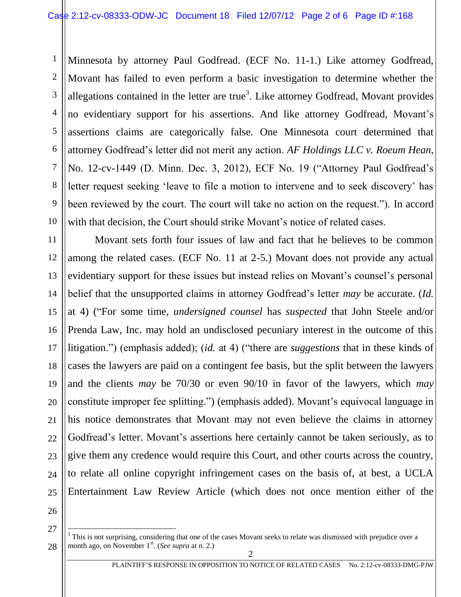10 Minnesota by attorney Paul Godfread. (ECF No. 11-1.) Like attorney Godfread, Movant has failed to even perform a basic investigation to determine whether the allegations contained in the letter are true<sup>3</sup>. Like attorney Godfread, Movant provides no evidentiary support for his assertions. And like attorney Godfread, Movant's assertions claims are categorically false. One Minnesota court determined that attorney Godfread's letter did not merit any action. *AF Holdings LLC v. Roeum Hean*, No. 12-cv-1449 (D. Minn. Dec. 3, 2012), ECF No. 19 ("Attorney Paul Godfread's letter request seeking 'leave to file a motion to intervene and to seek discovery' has been reviewed by the court. The court will take no action on the request."). In accord with that decision, the Court should strike Movant's notice of related cases.

11 12 13 14 15 16 17 18 19 20 21 22 23 24 25 Movant sets forth four issues of law and fact that he believes to be common among the related cases. (ECF No. 11 at 2-5.) Movant does not provide any actual evidentiary support for these issues but instead relies on Movant's counsel's personal belief that the unsupported claims in attorney Godfread's letter *may* be accurate. (*Id.* at 4) ("For some time, *undersigned counsel* has *suspected* that John Steele and/or Prenda Law, Inc. may hold an undisclosed pecuniary interest in the outcome of this litigation.") (emphasis added); (*id.* at 4) ("there are *suggestions* that in these kinds of cases the lawyers are paid on a contingent fee basis, but the split between the lawyers and the clients *may* be 70/30 or even 90/10 in favor of the lawyers, which *may* constitute improper fee splitting.") (emphasis added). Movant's equivocal language in his notice demonstrates that Movant may not even believe the claims in attorney Godfread's letter. Movant's assertions here certainly cannot be taken seriously, as to give them any credence would require this Court, and other courts across the country, to relate all online copyright infringement cases on the basis of, at best, a UCLA Entertainment Law Review Article (which does not once mention either of the

26

27

1

2

3

4

5

6

7

8

<sup>28</sup>  $\overline{a}$  $3$  This is not surprising, considering that one of the cases Movant seeks to relate was dismissed with prejudice over a month ago, on November 1<sup>st</sup>. (*See supra* at n. 2.)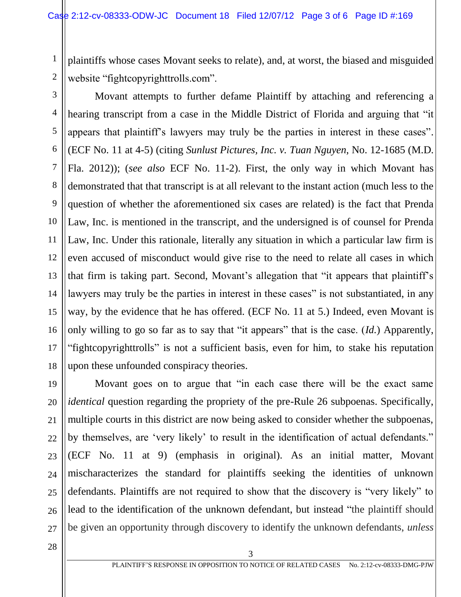plaintiffs whose cases Movant seeks to relate), and, at worst, the biased and misguided website "fightcopyrighttrolls.com".

1

2

3 4 5 6 7 8 9 10 11 12 13 14 15 16 17 18 Movant attempts to further defame Plaintiff by attaching and referencing a hearing transcript from a case in the Middle District of Florida and arguing that "it appears that plaintiff's lawyers may truly be the parties in interest in these cases". (ECF No. 11 at 4-5) (citing *Sunlust Pictures, Inc. v. Tuan Nguyen*, No. 12-1685 (M.D. Fla. 2012)); (*see also* ECF No. 11-2). First, the only way in which Movant has demonstrated that that transcript is at all relevant to the instant action (much less to the question of whether the aforementioned six cases are related) is the fact that Prenda Law, Inc. is mentioned in the transcript, and the undersigned is of counsel for Prenda Law, Inc. Under this rationale, literally any situation in which a particular law firm is even accused of misconduct would give rise to the need to relate all cases in which that firm is taking part. Second, Movant's allegation that "it appears that plaintiff's lawyers may truly be the parties in interest in these cases" is not substantiated, in any way, by the evidence that he has offered. (ECF No. 11 at 5.) Indeed, even Movant is only willing to go so far as to say that "it appears" that is the case. (*Id.*) Apparently, "fightcopyrighttrolls" is not a sufficient basis, even for him, to stake his reputation upon these unfounded conspiracy theories.

Movant goes on to argue that "in each case there will be the exact same *identical* question regarding the propriety of the pre-Rule 26 subpoenas. Specifically, multiple courts in this district are now being asked to consider whether the subpoenas, by themselves, are 'very likely' to result in the identification of actual defendants." (ECF No. 11 at 9) (emphasis in original). As an initial matter, Movant mischaracterizes the standard for plaintiffs seeking the identities of unknown defendants. Plaintiffs are not required to show that the discovery is "very likely" to lead to the identification of the unknown defendant, but instead "the plaintiff should be given an opportunity through discovery to identify the unknown defendants, *unless* 

28

19

20

21

22

23

24

25

26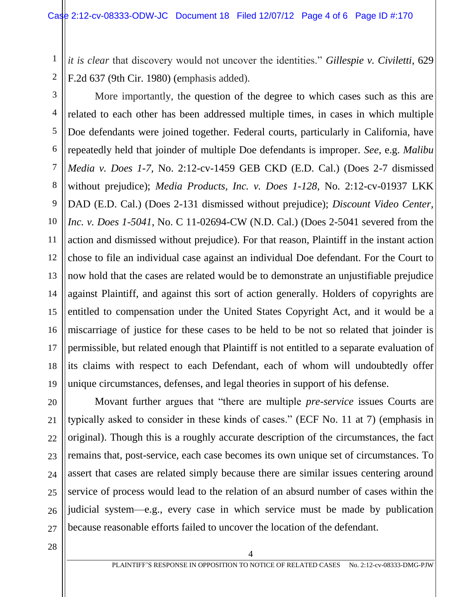*it is clear* that discovery would not uncover the identities." *Gillespie v. Civiletti*, 629 F.2d 637 (9th Cir. 1980) (emphasis added).

10 14 More importantly, the question of the degree to which cases such as this are related to each other has been addressed multiple times, in cases in which multiple Doe defendants were joined together. Federal courts, particularly in California, have repeatedly held that joinder of multiple Doe defendants is improper. *See*, e.g. *Malibu Media v. Does 1-7,* No. 2:12-cv-1459 GEB CKD (E.D. Cal.) (Does 2-7 dismissed without prejudice); *Media Products, Inc. v. Does 1-128*, No. 2:12-cv-01937 LKK DAD (E.D. Cal.) (Does 2-131 dismissed without prejudice); *Discount Video Center, Inc. v. Does 1-5041*, No. C 11-02694-CW (N.D. Cal.) (Does 2-5041 severed from the action and dismissed without prejudice). For that reason, Plaintiff in the instant action chose to file an individual case against an individual Doe defendant. For the Court to now hold that the cases are related would be to demonstrate an unjustifiable prejudice against Plaintiff, and against this sort of action generally. Holders of copyrights are entitled to compensation under the United States Copyright Act, and it would be a miscarriage of justice for these cases to be held to be not so related that joinder is permissible, but related enough that Plaintiff is not entitled to a separate evaluation of its claims with respect to each Defendant, each of whom will undoubtedly offer unique circumstances, defenses, and legal theories in support of his defense.

Movant further argues that "there are multiple *pre-service* issues Courts are typically asked to consider in these kinds of cases." (ECF No. 11 at 7) (emphasis in original). Though this is a roughly accurate description of the circumstances, the fact remains that, post-service, each case becomes its own unique set of circumstances. To assert that cases are related simply because there are similar issues centering around service of process would lead to the relation of an absurd number of cases within the judicial system—e.g., every case in which service must be made by publication because reasonable efforts failed to uncover the location of the defendant.

4

28

1

2

3

4

5

6

7

8

9

11

12

13

15

16

17

18

19

20

21

22

23

24

25

26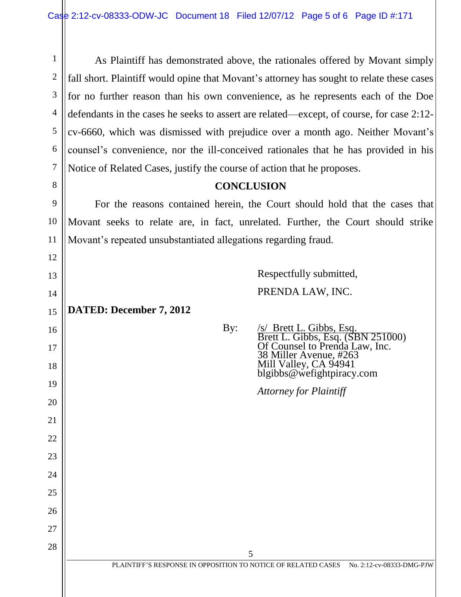1 2 As Plaintiff has demonstrated above, the rationales offered by Movant simply fall short. Plaintiff would opine that Movant's attorney has sought to relate these cases for no further reason than his own convenience, as he represents each of the Doe defendants in the cases he seeks to assert are related—except, of course, for case 2:12 cv-6660, which was dismissed with prejudice over a month ago. Neither Movant's counsel's convenience, nor the ill-conceived rationales that he has provided in his Notice of Related Cases, justify the course of action that he proposes.

## **CONCLUSION**

For the reasons contained herein, the Court should hold that the cases that Movant seeks to relate are, in fact, unrelated. Further, the Court should strike Movant's repeated unsubstantiated allegations regarding fraud.

> Respectfully submitted, PRENDA LAW, INC.

**DATED: December 7, 2012**

By: /s/ Brett L. Gibbs, Esq. Brett L. Gibbs, Esq. (SBN 251000) Of Counsel to Prenda Law, Inc. 38 Miller Avenue, #263

*Attorney for Plaintiff*

Mill Valley, CA 94941 blgibbs@wefightpiracy.com

24

25

26

27

28